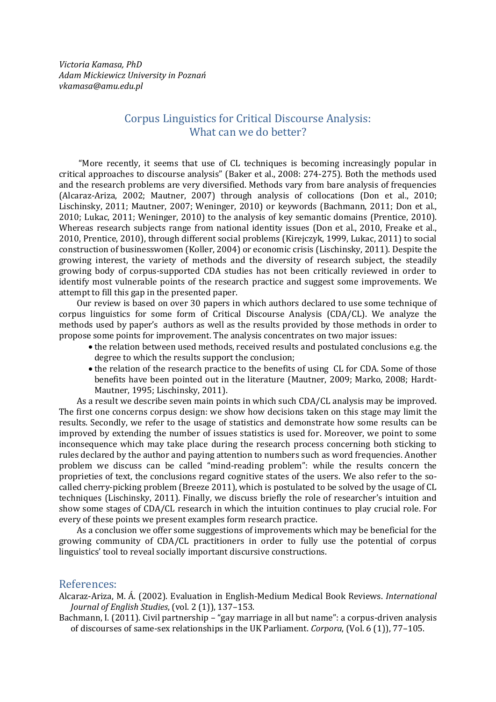*Victoria Kamasa, PhD Adam Mickiewicz University in Poznań vkamasa@amu.edu.pl*

## Corpus Linguistics for Critical Discourse Analysis: What can we do better?

"More recently, it seems that use of CL techniques is becoming increasingly popular in critical approaches to discourse analysis" (Baker et al., 2008: 274-275). Both the methods used and the research problems are very diversified. Methods vary from bare analysis of frequencies (Alcaraz-Ariza, 2002; Mautner, 2007) through analysis of collocations (Don et al., 2010; Lischinsky, 2011; Mautner, 2007; Weninger, 2010) or keywords (Bachmann, 2011; Don et al., 2010; Lukac, 2011; Weninger, 2010) to the analysis of key semantic domains (Prentice, 2010). Whereas research subjects range from national identity issues (Don et al., 2010, Freake et al., 2010, Prentice, 2010), through different social problems (Kirejczyk, 1999, Lukac, 2011) to social construction of businesswomen (Koller, 2004) or economic crisis (Lischinsky, 2011). Despite the growing interest, the variety of methods and the diversity of research subject, the steadily growing body of corpus-supported CDA studies has not been critically reviewed in order to identify most vulnerable points of the research practice and suggest some improvements. We attempt to fill this gap in the presented paper.

Our review is based on over 30 papers in which authors declared to use some technique of corpus linguistics for some form of Critical Discourse Analysis (CDA/CL). We analyze the methods used by paper's authors as well as the results provided by those methods in order to propose some points for improvement. The analysis concentrates on two major issues:

- the relation between used methods, received results and postulated conclusions e.g. the degree to which the results support the conclusion;
- the relation of the research practice to the benefits of using CL for CDA. Some of those benefits have been pointed out in the literature (Mautner, 2009; Marko, 2008; Hardt-Mautner, 1995; Lischinsky, 2011).

As a result we describe seven main points in which such CDA/CL analysis may be improved. The first one concerns corpus design: we show how decisions taken on this stage may limit the results. Secondly, we refer to the usage of statistics and demonstrate how some results can be improved by extending the number of issues statistics is used for. Moreover, we point to some inconsequence which may take place during the research process concerning both sticking to rules declared by the author and paying attention to numbers such as word frequencies. Another problem we discuss can be called "mind-reading problem": while the results concern the proprieties of text, the conclusions regard cognitive states of the users. We also refer to the socalled cherry-picking problem (Breeze 2011), which is postulated to be solved by the usage of CL techniques (Lischinsky, 2011). Finally, we discuss briefly the role of researcher's intuition and show some stages of CDA/CL research in which the intuition continues to play crucial role. For every of these points we present examples form research practice.

As a conclusion we offer some suggestions of improvements which may be beneficial for the growing community of CDA/CL practitioners in order to fully use the potential of corpus linguistics' tool to reveal socially important discursive constructions.

## References:

Alcaraz-Ariza, M. Á. (2002). Evaluation in English-Medium Medical Book Reviews. *International Journal of English Studies*, (vol. 2 (1)), 137–153.

Bachmann, I. (2011). Civil partnership – "gay marriage in all but name": a corpus-driven analysis of discourses of same-sex relationships in the UK Parliament. *Corpora*, (Vol. 6 (1)), 77–105.